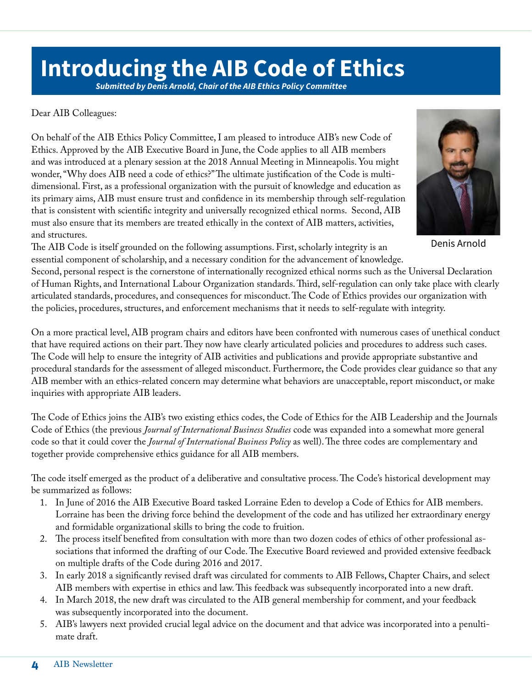## **Introducing the AIB Code of Ethics**

*Submitted by Denis Arnold, Chair of the AIB Ethics Policy Committee*

Dear AIB Colleagues:

On behalf of the AIB Ethics Policy Committee, I am pleased to introduce AIB's new Code of Ethics. Approved by the AIB Executive Board in June, the Code applies to all AIB members and was introduced at a plenary session at the 2018 Annual Meeting in Minneapolis. You might wonder, "Why does AIB need a code of ethics?" The ultimate justification of the Code is multidimensional. First, as a professional organization with the pursuit of knowledge and education as its primary aims, AIB must ensure trust and confidence in its membership through self-regulation that is consistent with scientific integrity and universally recognized ethical norms. Second, AIB must also ensure that its members are treated ethically in the context of AIB matters, activities, and structures.

Denis Arnold

The AIB Code is itself grounded on the following assumptions. First, scholarly integrity is an essential component of scholarship, and a necessary condition for the advancement of knowledge.

Second, personal respect is the cornerstone of internationally recognized ethical norms such as the Universal Declaration of Human Rights, and International Labour Organization standards. Third, self-regulation can only take place with clearly articulated standards, procedures, and consequences for misconduct. The Code of Ethics provides our organization with the policies, procedures, structures, and enforcement mechanisms that it needs to self-regulate with integrity.

On a more practical level, AIB program chairs and editors have been confronted with numerous cases of unethical conduct that have required actions on their part. They now have clearly articulated policies and procedures to address such cases. The Code will help to ensure the integrity of AIB activities and publications and provide appropriate substantive and procedural standards for the assessment of alleged misconduct. Furthermore, the Code provides clear guidance so that any AIB member with an ethics-related concern may determine what behaviors are unacceptable, report misconduct, or make inquiries with appropriate AIB leaders.

The Code of Ethics joins the AIB's two existing ethics codes, the Code of Ethics for the AIB Leadership and the Journals Code of Ethics (the previous *Journal of International Business Studies* code was expanded into a somewhat more general code so that it could cover the *Journal of International Business Policy* as well). The three codes are complementary and together provide comprehensive ethics guidance for all AIB members.

The code itself emerged as the product of a deliberative and consultative process. The Code's historical development may be summarized as follows:

- 1. In June of 2016 the AIB Executive Board tasked Lorraine Eden to develop a Code of Ethics for AIB members. Lorraine has been the driving force behind the development of the code and has utilized her extraordinary energy and formidable organizational skills to bring the code to fruition.
- 2. The process itself benefited from consultation with more than two dozen codes of ethics of other professional associations that informed the drafting of our Code. The Executive Board reviewed and provided extensive feedback on multiple drafts of the Code during 2016 and 2017.
- 3. In early 2018 a significantly revised draft was circulated for comments to AIB Fellows, Chapter Chairs, and select AIB members with expertise in ethics and law. This feedback was subsequently incorporated into a new draft.
- 4. In March 2018, the new draft was circulated to the AIB general membership for comment, and your feedback was subsequently incorporated into the document.
- 5. AIB's lawyers next provided crucial legal advice on the document and that advice was incorporated into a penultimate draft.